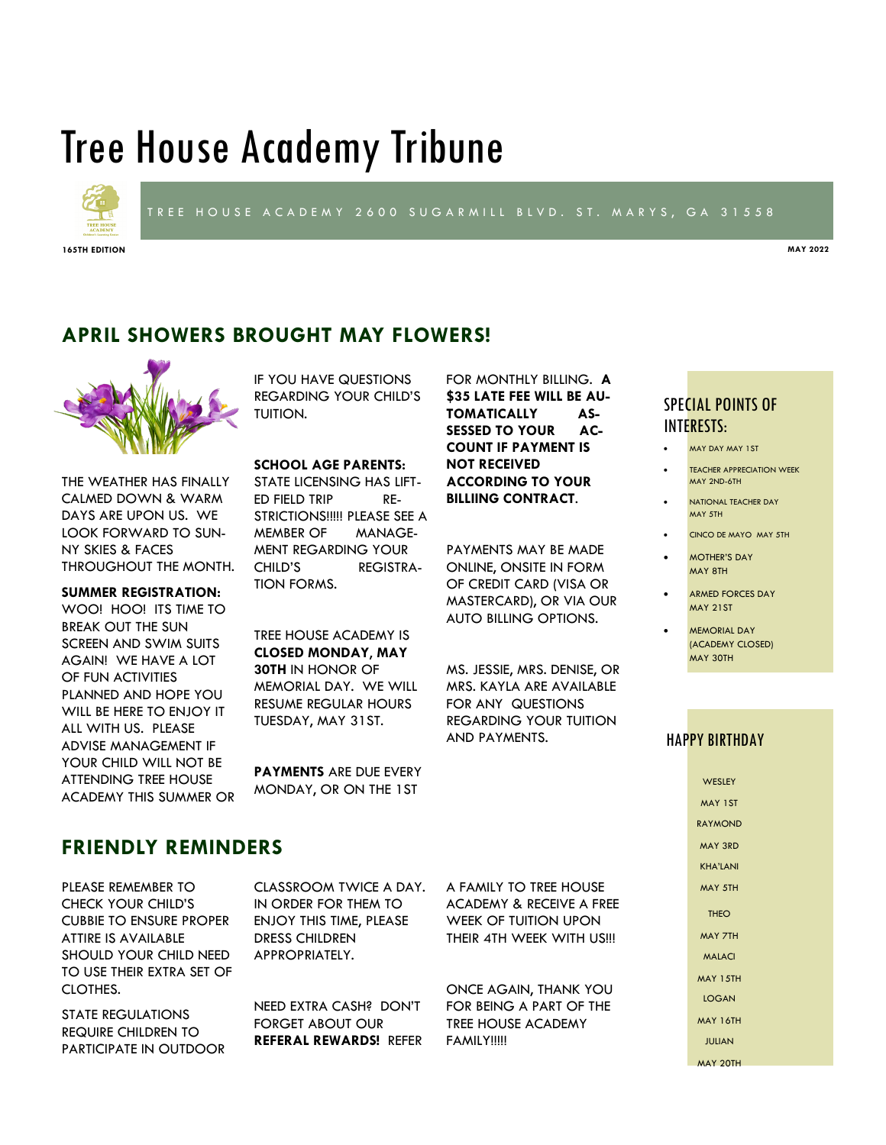# Tree House Academy Tribune



### TREE HOUSE ACADEMY 2600 SUGARMILL BLVD. ST. MARYS, GA 31558

**165TH EDITION MAY 2022**

**APRIL SHOWERS BROUGHT MAY FLOWERS!**



THE WEATHER HAS FINALLY CALMED DOWN & WARM DAYS ARE UPON US. WE LOOK FORWARD TO SUN-NY SKIES & FACES THROUGHOUT THE MONTH.

#### **SUMMER REGISTRATION:**

WOO! HOO! ITS TIME TO BREAK OUT THE SUN SCREEN AND SWIM SUITS AGAIN! WE HAVE A LOT OF FUN ACTIVITIES PLANNED AND HOPE YOU WILL BE HERE TO ENJOY IT ALL WITH US. PLEASE ADVISE MANAGEMENT IF YOUR CHILD WILL NOT BE ATTENDING TREE HOUSE ACADEMY THIS SUMMER OR IF YOU HAVE QUESTIONS REGARDING YOUR CHILD'S TUITION.

**SCHOOL AGE PARENTS:** 

STATE LICENSING HAS LIFT-ED FIELD TRIP RE-STRICTIONS!!!!! PLEASE SEE A MEMBER OF MANAGE-MENT REGARDING YOUR CHILD'S REGISTRA-TION FORMS.

TREE HOUSE ACADEMY IS **CLOSED MONDAY**, **MAY 30TH** IN HONOR OF MEMORIAL DAY. WE WILL RESUME REGULAR HOURS TUESDAY, MAY 31ST.

**PAYMENTS** ARE DUE EVERY MONDAY, OR ON THE 1ST

FOR MONTHLY BILLING. **A \$35 LATE FEE WILL BE AU-TOMATICALLY AS-SESSED TO YOUR AC-COUNT IF PAYMENT IS NOT RECEIVED ACCORDING TO YOUR BILLIING CONTRACT**.

PAYMENTS MAY BE MADE ONLINE, ONSITE IN FORM OF CREDIT CARD (VISA OR MASTERCARD), OR VIA OUR AUTO BILLING OPTIONS.

MS. JESSIE, MRS. DENISE, OR MRS. KAYLA ARE AVAILABLE FOR ANY QUESTIONS REGARDING YOUR TUITION AND PAYMENTS.

# SPECIAL POINTS OF INTERESTS:

MAY DAY MAY 1ST

- **TEACHER APPRECIATION WEEK** MAY 2ND-6TH
- NATIONAL TEACHER DAY MAY 5TH
- CINCO DE MAYO MAY 5TH
- MOTHER'S DAY MAY 8TH
- ARMED FORCES DAY MAY 21ST
- MEMORIAL DAY (ACADEMY CLOSED) MAY 30TH

### HAPPY BIRTHDAY

**WESLEY** MAY 1ST RAYMOND MAY 3RD KHA'LANI MAY 5TH **THEO** MAY 7TH MALACI MAY 15TH LOGAN MAY 16TH JULIAN MAY 20TH

## **FRIENDLY REMINDERS**

PLEASE REMEMBER TO CHECK YOUR CHILD'S CUBBIE TO ENSURE PROPER ATTIRE IS AVAILABLE SHOULD YOUR CHILD NEED TO USE THEIR EXTRA SET OF CLOTHES.

STATE REGULATIONS REQUIRE CHILDREN TO PARTICIPATE IN OUTDOOR CLASSROOM TWICE A DAY. IN ORDER FOR THEM TO ENJOY THIS TIME, PLEASE DRESS CHILDREN APPROPRIATELY.

NEED EXTRA CASH? DON'T FORGET ABOUT OUR **REFERAL REWARDS!** REFER A FAMILY TO TREE HOUSE ACADEMY & RECEIVE A FREE WEEK OF TUITION UPON THEIR 4TH WEEK WITH US!!!

ONCE AGAIN, THANK YOU FOR BEING A PART OF THE TREE HOUSE ACADEMY FAMILY!!!!!